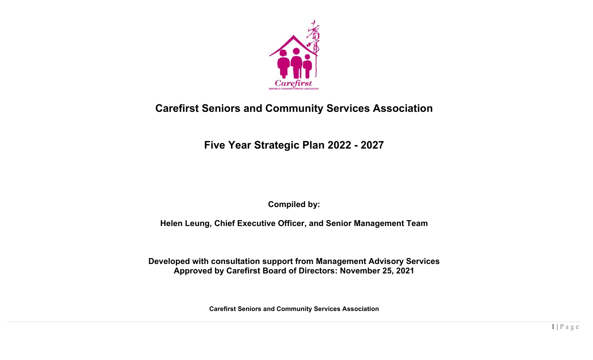

# **Carefirst Seniors and Community Services Association**

**Five Year Strategic Plan 2022 - 2027** 

**Compiled by:** 

**Helen Leung, Chief Executive Officer, and Senior Management Team** 

**Developed with consultation support from Management Advisory Services Approved by Carefirst Board of Directors: November 25, 2021** 

**Carefirst Seniors and Community Services Association**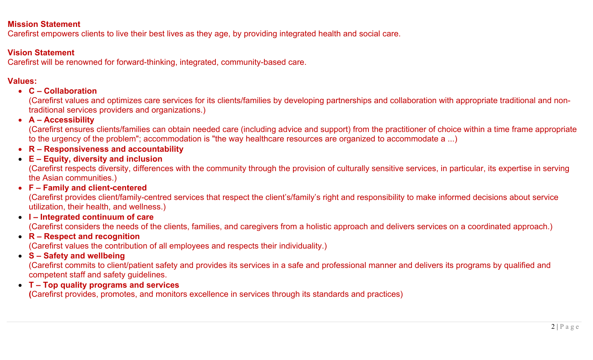#### **Mission Statement**

Carefirst empowers clients to live their best lives as they age, by providing integrated health and social care.

### **Vision Statement**

Carefirst will be renowned for forward-thinking, integrated, community-based care.

## **Values:**

### **C – Collaboration**

(Carefirst values and optimizes care services for its clients/families by developing partnerships and collaboration with appropriate traditional and nontraditional services providers and organizations.)

### **A – Accessibility**

(Carefirst ensures clients/families can obtain needed care (including advice and support) from the practitioner of choice within a time frame appropriate to the urgency of the problem"; accommodation is "the way healthcare resources are organized to accommodate a ...)

**R – Responsiveness and accountability** 

### **E – Equity, diversity and inclusion**

(Carefirst respects diversity, differences with the community through the provision of culturally sensitive services, in particular, its expertise in serving the Asian communities.)

### **F – Family and client-centered**

(Carefirst provides client/family-centred services that respect the client's/family's right and responsibility to make informed decisions about service utilization, their health, and wellness.)

## **I – Integrated continuum of care**

(Carefirst considers the needs of the clients, families, and caregivers from a holistic approach and delivers services on a coordinated approach.)

**R – Respect and recognition** 

(Carefirst values the contribution of all employees and respects their individuality.)

## **S – Safety and wellbeing**

(Carefirst commits to client/patient safety and provides its services in a safe and professional manner and delivers its programs by qualified and competent staff and safety guidelines.

**T – Top quality programs and services** 

**(**Carefirst provides, promotes, and monitors excellence in services through its standards and practices)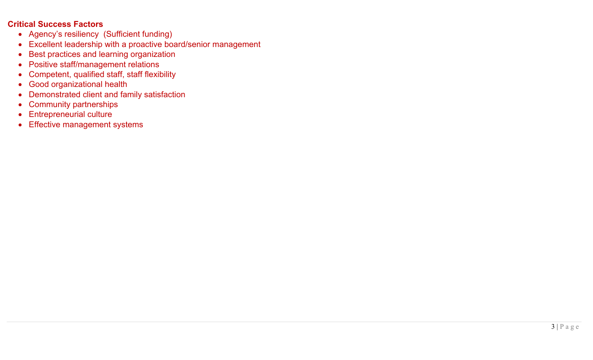#### **Critical Success Factors**

- Agency's resiliency (Sufficient funding)
- Excellent leadership with a proactive board/senior management
- Best practices and learning organization
- Positive staff/management relations
- Competent, qualified staff, staff flexibility
- Good organizational health
- Demonstrated client and family satisfaction
- Community partnerships
- Entrepreneurial culture
- Effective management systems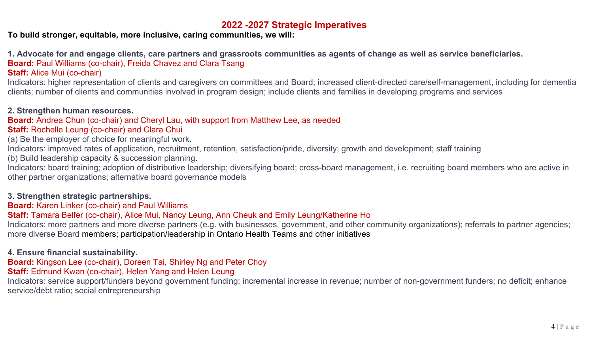## **2022 -2027 Strategic Imperatives**

**To build stronger, equitable, more inclusive, caring communities, we will:** 

**1. Advocate for and engage clients, care partners and grassroots communities as agents of change as well as service beneficiaries.** 

**Board:** Paul Williams (co-chair), Freida Chavez and Clara Tsang

### **Staff:** Alice Mui (co-chair)

Indicators: higher representation of clients and caregivers on committees and Board; increased client-directed care/self-management, including for dementia clients; number of clients and communities involved in program design; include clients and families in developing programs and services

#### **2. Strengthen human resources.**

#### **Board:** Andrea Chun (co-chair) and Cheryl Lau, with support from Matthew Lee, as needed

#### **Staff: Rochelle Leung (co-chair) and Clara Chui**

(a) Be the employer of choice for meaningful work.

Indicators: improved rates of application, recruitment, retention, satisfaction/pride, diversity; growth and development; staff training

(b) Build leadership capacity & succession planning.

Indicators: board training; adoption of distributive leadership; diversifying board; cross-board management, i.e. recruiting board members who are active in other partner organizations; alternative board governance models

#### **3. Strengthen strategic partnerships.**

#### **Board:** Karen Linker (co-chair) and Paul Williams

#### **Staff:** Tamara Belfer (co-chair), Alice Mui, Nancy Leung, Ann Cheuk and Emily Leung/Katherine Ho

Indicators: more partners and more diverse partners (e.g. with businesses, government, and other community organizations); referrals to partner agencies; more diverse Board members; participation/leadership in Ontario Health Teams and other initiatives

### **4. Ensure financial sustainability.**

**Board:** Kingson Lee (co-chair), Doreen Tai, Shirley Ng and Peter Choy

## **Staff:** Edmund Kwan (co-chair), Helen Yang and Helen Leung

Indicators: service support/funders beyond government funding; incremental increase in revenue; number of non-government funders; no deficit; enhance service/debt ratio; social entrepreneurship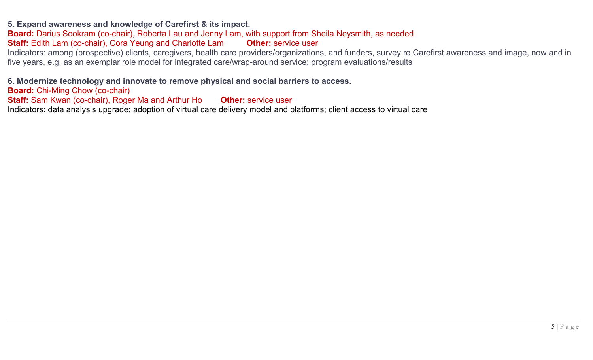#### **5. Expand awareness and knowledge of Carefirst & its impact.**

**Board:** Darius Sookram (co-chair), Roberta Lau and Jenny Lam, with support from Sheila Neysmith, as needed **Staff:** Edith Lam (co-chair), Cora Yeung and Charlotte Lam **Other:** service user

Indicators: among (prospective) clients, caregivers, health care providers/organizations, and funders, survey re Carefirst awareness and image, now and in five years, e.g. as an exemplar role model for integrated care/wrap-around service; program evaluations/results

**6. Modernize technology and innovate to remove physical and social barriers to access.** 

**Board:** Chi-Ming Chow (co-chair)

**Staff:** Sam Kwan (co-chair), Roger Ma and Arthur Ho **Other:** service user

Indicators: data analysis upgrade; adoption of virtual care delivery model and platforms; client access to virtual care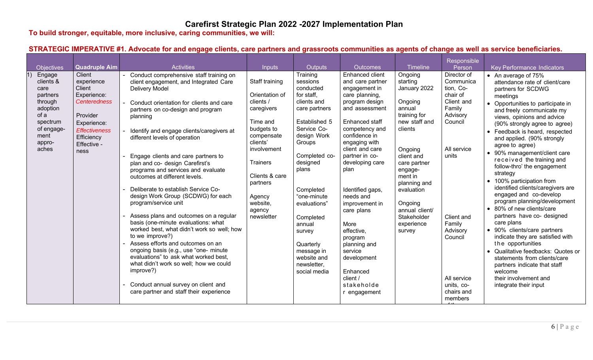## **Carefirst Strategic Plan 2022 -2027 Implementation Plan**

**To build stronger, equitable, more inclusive, caring communities, we will:** 

## **STRATEGIC IMPERATIVE #1. Advocate for and engage clients, care partners and grassroots communities as agents of change as well as service beneficiaries.**

|                                                                                                                             |                                                                                                                                                              |                                                                                                                                                                                                                                                                                                                                                                                                                                                                                                                                                                                                                                                                                                                                                                                                                                                                                                                                                        |                                                                                                                                                                                                                        |                                                                                                                                                                                                                                                                                                                                      |                                                                                                                                                                                                                                                                                                                                                                                                                                                    |                                                                                                                                                                                                                                                                       | Responsible                                                                                                                                                                                                                   |                                                                                                                                                                                                                                                                                                                                                                                                                                                                                                                                                                                                                                                                                                                                                                                                                                                                                     |
|-----------------------------------------------------------------------------------------------------------------------------|--------------------------------------------------------------------------------------------------------------------------------------------------------------|--------------------------------------------------------------------------------------------------------------------------------------------------------------------------------------------------------------------------------------------------------------------------------------------------------------------------------------------------------------------------------------------------------------------------------------------------------------------------------------------------------------------------------------------------------------------------------------------------------------------------------------------------------------------------------------------------------------------------------------------------------------------------------------------------------------------------------------------------------------------------------------------------------------------------------------------------------|------------------------------------------------------------------------------------------------------------------------------------------------------------------------------------------------------------------------|--------------------------------------------------------------------------------------------------------------------------------------------------------------------------------------------------------------------------------------------------------------------------------------------------------------------------------------|----------------------------------------------------------------------------------------------------------------------------------------------------------------------------------------------------------------------------------------------------------------------------------------------------------------------------------------------------------------------------------------------------------------------------------------------------|-----------------------------------------------------------------------------------------------------------------------------------------------------------------------------------------------------------------------------------------------------------------------|-------------------------------------------------------------------------------------------------------------------------------------------------------------------------------------------------------------------------------|-------------------------------------------------------------------------------------------------------------------------------------------------------------------------------------------------------------------------------------------------------------------------------------------------------------------------------------------------------------------------------------------------------------------------------------------------------------------------------------------------------------------------------------------------------------------------------------------------------------------------------------------------------------------------------------------------------------------------------------------------------------------------------------------------------------------------------------------------------------------------------------|
| <b>Objectives</b>                                                                                                           | <b>Quadruple Aim</b>                                                                                                                                         | <b>Activities</b>                                                                                                                                                                                                                                                                                                                                                                                                                                                                                                                                                                                                                                                                                                                                                                                                                                                                                                                                      | <b>Inputs</b>                                                                                                                                                                                                          | <b>Outputs</b>                                                                                                                                                                                                                                                                                                                       | Outcomes                                                                                                                                                                                                                                                                                                                                                                                                                                           | <b>Timeline</b>                                                                                                                                                                                                                                                       | Person                                                                                                                                                                                                                        | Key Performance Indicators                                                                                                                                                                                                                                                                                                                                                                                                                                                                                                                                                                                                                                                                                                                                                                                                                                                          |
| Engage<br>clients &<br>care<br>partners<br>through<br>adoption<br>of a<br>spectrum<br>of engage-<br>ment<br>appro-<br>aches | Client<br>experience<br>Client<br>Experience:<br><b>Centeredness</b><br>Provider<br>Experience:<br><b>Effectiveness</b><br>Efficiency<br>Effective -<br>ness | Conduct comprehensive staff training on<br>client engagement, and Integrated Care<br>Delivery Model<br>Conduct orientation for clients and care<br>partners on co-design and program<br>planning<br>Identify and engage clients/caregivers at<br>different levels of operation<br>Engage clients and care partners to<br>plan and co- design Carefirst's<br>programs and services and evaluate<br>outcomes at different levels.<br>Deliberate to establish Service Co-<br>design Work Group (SCDWG) for each<br>program/service unit<br>Assess plans and outcomes on a regular<br>basis (one-minute evaluations: what<br>worked best, what didn't work so well; how<br>to we improve?)<br>Assess efforts and outcomes on an<br>ongoing basis (e.g., use "one- minute<br>evaluations" to ask what worked best,<br>what didn't work so well; how we could<br>improve?)<br>Conduct annual survey on client and<br>care partner and staff their experience | Staff training<br>Orientation of<br>clients /<br>caregivers<br>Time and<br>budgets to<br>compensate<br>clients'<br>involvement<br>Trainers<br>Clients & care<br>partners<br>Agency<br>website,<br>agency<br>newsletter | Training<br>sessions<br>conducted<br>for staff.<br>clients and<br>care partners<br>Established 5<br>Service Co-<br>design Work<br>Groups<br>Completed co-<br>designed<br>plans<br>Completed<br>"one-minute<br>evaluations"<br>Completed<br>annual<br>survey<br>Quarterly<br>message in<br>website and<br>newsletter,<br>social media | Enhanced client<br>and care partner<br>engagement in<br>care planning,<br>program design<br>and assessment<br>Enhanced staff<br>competency and<br>confidence in<br>engaging with<br>client and care<br>partner in co-<br>developing care<br>plan<br>Identified gaps,<br>needs and<br>improvement in<br>care plans<br>More<br>effective,<br>program<br>planning and<br>service<br>development<br>Enhanced<br>client /<br>stakeholde<br>r engagement | Ongoing<br>starting<br>January 2022<br>Ongoing<br>annual<br>training for<br>new staff and<br>clients<br>Ongoing<br>client and<br>care partner<br>engage-<br>ment in<br>planning and<br>evaluation<br>Ongoing<br>annual client/<br>Stakeholder<br>experience<br>survey | Director of<br>Communica<br>tion, Co-<br>chair of<br>Client and<br>Family<br>Advisory<br>Council<br>All service<br>units<br>Client and<br>Family<br>Advisory<br>Council<br>All service<br>units, co-<br>chairs and<br>members | • An average of 75%<br>attendance rate of client/care<br>partners for SCDWG<br>meetings<br>• Opportunities to participate in<br>and freely communicate my<br>views, opinions and advice<br>(90% strongly agree to agree)<br>• Feedback is heard, respected<br>and applied. (90% strongly<br>agree to agree)<br>• 90% management/client care<br>received the training and<br>follow-thro' the engagement<br>strategy<br>• 100% participation from<br>identified clients/caregivers are<br>engaged and co-develop<br>program planning/development<br>• 80% of new clients/care<br>partners have co- designed<br>care plans<br>• 90% clients/care partners<br>indicate they are satisfied with<br>the opportunities<br>• Qualitative feedbacks: Quotes or<br>statements from clients/care<br>partners indicate that staff<br>welcome<br>their involvement and<br>integrate their input |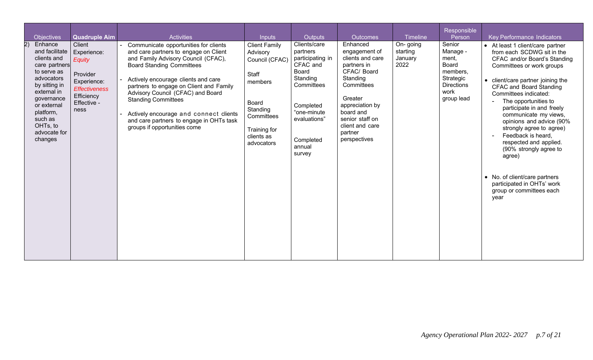| <b>Objectives</b>                                                                                                                                                                                                  | <b>Quadruple Aim</b>                                                                                                           | <b>Activities</b>                                                                                                                                                                                                                                                                                                                                                                                                                    | <b>Inputs</b>                                                                                                                                         | Outputs                                                                                                                                                                         | <b>Outcomes</b>                                                                                                                                                                                                   | Timeline                                | Responsible<br>Person                                                                                    | <b>Key Performance Indicators</b>                                                                                                                                                                                                                                                                                                                                                                                                                                                                                                                        |
|--------------------------------------------------------------------------------------------------------------------------------------------------------------------------------------------------------------------|--------------------------------------------------------------------------------------------------------------------------------|--------------------------------------------------------------------------------------------------------------------------------------------------------------------------------------------------------------------------------------------------------------------------------------------------------------------------------------------------------------------------------------------------------------------------------------|-------------------------------------------------------------------------------------------------------------------------------------------------------|---------------------------------------------------------------------------------------------------------------------------------------------------------------------------------|-------------------------------------------------------------------------------------------------------------------------------------------------------------------------------------------------------------------|-----------------------------------------|----------------------------------------------------------------------------------------------------------|----------------------------------------------------------------------------------------------------------------------------------------------------------------------------------------------------------------------------------------------------------------------------------------------------------------------------------------------------------------------------------------------------------------------------------------------------------------------------------------------------------------------------------------------------------|
| Enhance<br>and facilitate<br>clients and<br>care partners<br>to serve as<br>advocators<br>by sitting in<br>external in<br>governance<br>or external<br>platform,<br>such as<br>OHTs, to<br>advocate for<br>changes | Client<br>Experience:<br><b>Equity</b><br>Provider<br>Experience:<br><b>Effectiveness</b><br>Efficiency<br>Effective -<br>ness | Communicate opportunities for clients<br>and care partners to engage on Client<br>and Family Advisory Council (CFAC),<br><b>Board Standing Committees</b><br>Actively encourage clients and care<br>partners to engage on Client and Family<br>Advisory Council (CFAC) and Board<br><b>Standing Committees</b><br>Actively encourage and connect clients<br>and care partners to engage in OHTs task<br>groups if opportunities come | <b>Client Family</b><br>Advisory<br>Council (CFAC)<br>Staff<br>members<br>Board<br>Standing<br>Committees<br>Training for<br>clients as<br>advocators | Clients/care<br>partners<br>participating in<br>CFAC and<br><b>Board</b><br>Standing<br>Committees<br>Completed<br>"one-minute<br>evaluations"<br>Completed<br>annual<br>survey | Enhanced<br>engagement of<br>clients and care<br>partners in<br>CFAC/ Board<br>Standing<br>Committees<br>Greater<br>appreciation by<br>board and<br>senior staff on<br>client and care<br>partner<br>perspectives | On-going<br>starting<br>January<br>2022 | Senior<br>Manage -<br>ment,<br>Board<br>members,<br>Strategic<br><b>Directions</b><br>work<br>group lead | • At least 1 client/care partner<br>from each SCDWG sit in the<br>CFAC and/or Board's Standing<br>Committees or work groups<br>• client/care partner joining the<br><b>CFAC and Board Standing</b><br>Committees indicated:<br>The opportunities to<br>participate in and freely<br>communicate my views,<br>opinions and advice (90%<br>strongly agree to agree)<br>Feedback is heard,<br>respected and applied.<br>(90% strongly agree to<br>agree)<br>• No. of client/care partners<br>participated in OHTs' work<br>group or committees each<br>year |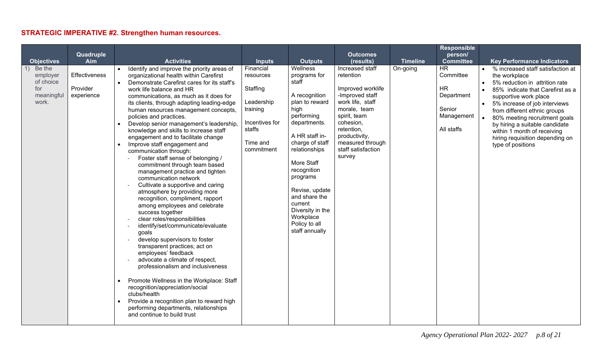## **STRATEGIC IMPERATIVE #2. Strengthen human resources.**

|                                                               | Quadruple                               |                                                                                                                                                                                                                                                                                                                                                                                                                                                                                                                                                                                                                                                                                                                                                                                                                                                                                                                                                                                                                                                                                                                                                                                                                                                                                                                        |                                                                                                                    |                                                                                                                                                                                                                                                                                                                             | <b>Outcomes</b>                                                                                                                                                                                                          |                 | <b>Responsible</b><br>person/                                                                          |                                                                                                                                                                                                                                                                                                                                                                                |
|---------------------------------------------------------------|-----------------------------------------|------------------------------------------------------------------------------------------------------------------------------------------------------------------------------------------------------------------------------------------------------------------------------------------------------------------------------------------------------------------------------------------------------------------------------------------------------------------------------------------------------------------------------------------------------------------------------------------------------------------------------------------------------------------------------------------------------------------------------------------------------------------------------------------------------------------------------------------------------------------------------------------------------------------------------------------------------------------------------------------------------------------------------------------------------------------------------------------------------------------------------------------------------------------------------------------------------------------------------------------------------------------------------------------------------------------------|--------------------------------------------------------------------------------------------------------------------|-----------------------------------------------------------------------------------------------------------------------------------------------------------------------------------------------------------------------------------------------------------------------------------------------------------------------------|--------------------------------------------------------------------------------------------------------------------------------------------------------------------------------------------------------------------------|-----------------|--------------------------------------------------------------------------------------------------------|--------------------------------------------------------------------------------------------------------------------------------------------------------------------------------------------------------------------------------------------------------------------------------------------------------------------------------------------------------------------------------|
| <b>Objectives</b>                                             | Aim                                     | <b>Activities</b>                                                                                                                                                                                                                                                                                                                                                                                                                                                                                                                                                                                                                                                                                                                                                                                                                                                                                                                                                                                                                                                                                                                                                                                                                                                                                                      | <b>Inputs</b>                                                                                                      | <b>Outputs</b>                                                                                                                                                                                                                                                                                                              | (results)                                                                                                                                                                                                                | <b>Timeline</b> | <b>Committee</b>                                                                                       | <b>Key Performance Indicators</b>                                                                                                                                                                                                                                                                                                                                              |
| Be the<br>employer<br>of choice<br>for<br>meaningful<br>work. | Effectiveness<br>Provider<br>experience | Identify and improve the priority areas of<br>organizational health within Carefirst<br>Demonstrate Carefirst cares for its staff's<br>$\bullet$<br>work life balance and HR<br>communications, as much as it does for<br>its clients, through adapting leading-edge<br>human resources management concepts,<br>policies and practices.<br>Develop senior management's leadership,<br>knowledge and skills to increase staff<br>engagement and to facilitate change<br>Improve staff engagement and<br>$\bullet$<br>communication through:<br>Foster staff sense of belonging /<br>commitment through team based<br>management practice and tighten<br>communication network<br>Cultivate a supportive and caring<br>atmosphere by providing more<br>recognition, compliment, rapport<br>among employees and celebrate<br>success together<br>clear roles/responsibilities<br>identify/set/communicate/evaluate<br>goals<br>develop supervisors to foster<br>$\sim$<br>transparent practices; act on<br>employees' feedback<br>advocate a climate of respect,<br>professionalism and inclusiveness<br>Promote Wellness in the Workplace: Staff<br>recognition/appreciation/social<br>clubs/health<br>Provide a recognition plan to reward high<br>performing departments, relationships<br>and continue to build trust | Financial<br>resources<br>Staffing<br>Leadership<br>training<br>Incentives for<br>staffs<br>Time and<br>commitment | Wellness<br>programs for<br>staff<br>A recognition<br>plan to reward<br>high<br>performing<br>departments.<br>A HR staff in-<br>charge of staff<br>relationships<br>More Staff<br>recognition<br>programs<br>Revise, update<br>and share the<br>current<br>Diversity in the<br>Workplace<br>Policy to all<br>staff annually | Increased staff<br>retention<br>Improved worklife<br>-Improved staff<br>work life, staff<br>morale, team<br>spirit, team<br>cohesion,<br>retention,<br>productivity,<br>measured through<br>staff satisfaction<br>survey | On-going        | $\overline{\mathsf{HR}}$<br>Committee<br><b>HR</b><br>Department<br>Senior<br>Management<br>All staffs | • % increased staff satisfaction at<br>the workplace<br>5% reduction in attrition rate<br>85% indicate that Carefirst as a<br>supportive work place<br>5% increase of job interviews<br>from different ethnic groups<br>80% meeting recruitment goals<br>by hiring a suitable candidate<br>within 1 month of receiving<br>hiring requisition depending on<br>type of positions |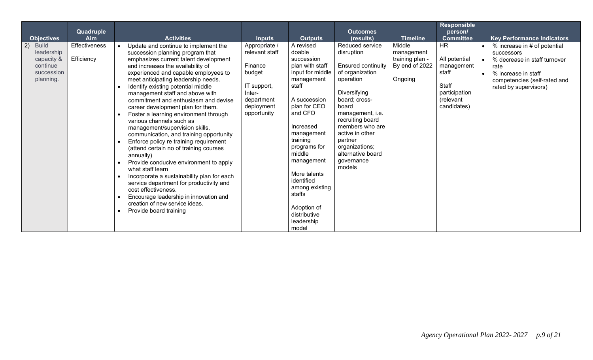| <b>Objectives</b>                                                                     | Quadruple<br><b>Aim</b>     | <b>Activities</b>                                                                                                                                                                                                                                                                                                                                                                                                                                                                                                                                                                                                                                                                                                                                                                                                                                                                                                                  | <b>Inputs</b>                                                                                                            | <b>Outputs</b>                                                                                                                                                                                                                                                                                                                            | Outcomes<br>(results)                                                                                                                                                                                                                                                                        | <b>Timeline</b>                                                      | <b>Responsible</b><br>person/<br><b>Committee</b>                                                       | <b>Key Performance Indicators</b>                                                                                                                                  |
|---------------------------------------------------------------------------------------|-----------------------------|------------------------------------------------------------------------------------------------------------------------------------------------------------------------------------------------------------------------------------------------------------------------------------------------------------------------------------------------------------------------------------------------------------------------------------------------------------------------------------------------------------------------------------------------------------------------------------------------------------------------------------------------------------------------------------------------------------------------------------------------------------------------------------------------------------------------------------------------------------------------------------------------------------------------------------|--------------------------------------------------------------------------------------------------------------------------|-------------------------------------------------------------------------------------------------------------------------------------------------------------------------------------------------------------------------------------------------------------------------------------------------------------------------------------------|----------------------------------------------------------------------------------------------------------------------------------------------------------------------------------------------------------------------------------------------------------------------------------------------|----------------------------------------------------------------------|---------------------------------------------------------------------------------------------------------|--------------------------------------------------------------------------------------------------------------------------------------------------------------------|
| 2)<br><b>Build</b><br>leadership<br>capacity &<br>continue<br>succession<br>planning. | Effectiveness<br>Efficiency | Update and continue to implement the<br>succession planning program that<br>emphasizes current talent development<br>and increases the availability of<br>experienced and capable employees to<br>meet anticipating leadership needs.<br>Identify existing potential middle<br>management staff and above with<br>commitment and enthusiasm and devise<br>career development plan for them.<br>Foster a learning environment through<br>various channels such as<br>management/supervision skills,<br>communication, and training opportunity<br>Enforce policy re training requirement<br>(attend certain no of training courses<br>annually)<br>Provide conducive environment to apply<br>what staff learn<br>Incorporate a sustainability plan for each<br>service department for productivity and<br>cost effectiveness.<br>Encourage leadership in innovation and<br>creation of new service ideas.<br>Provide board training | Appropriate /<br>relevant staff<br>Finance<br>budget<br>IT support,<br>Inter-<br>department<br>deployment<br>opportunity | A revised<br>doable<br>succession<br>plan with staff<br>input for middle<br>management<br>staff<br>A succession<br>plan for CEO<br>and CFO<br>Increased<br>management<br>training<br>programs for<br>middle<br>management<br>More talents<br>identified<br>among existing<br>staffs<br>Adoption of<br>distributive<br>leadership<br>model | Reduced service<br>disruption<br><b>Ensured continuity</b><br>of organization<br>operation<br>Diversifying<br>board; cross-<br>board<br>management, i.e.<br>recruiting board<br>members who are<br>active in other<br>partner<br>organizations;<br>alternative board<br>qovernance<br>models | Middle<br>management<br>training plan -<br>By end of 2022<br>Ongoing | <b>HR</b><br>All potential<br>management<br>staff<br>Staff<br>participation<br>(relevant<br>candidates) | % increase in # of potential<br>successors<br>% decrease in staff turnover<br>rate<br>% increase in staff<br>competencies (self-rated and<br>rated by supervisors) |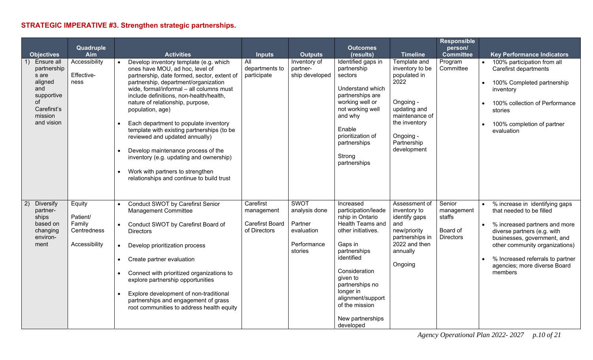# **STRATEGIC IMPERATIVE #3. Strengthen strategic partnerships.**

|                                                                                                                  | Quadruple                                                    |                                                                                                                                                                                                                                                                                                                                                                                                                                                                                                                                                                                                            |                                                                   |                                                                                 | <b>Outcomes</b>                                                                                                                                                                                                                                                                     |                                                                                                                                                                    | <b>Responsible</b><br>person/                                  |                                                                                                                                                                                                                                                                            |
|------------------------------------------------------------------------------------------------------------------|--------------------------------------------------------------|------------------------------------------------------------------------------------------------------------------------------------------------------------------------------------------------------------------------------------------------------------------------------------------------------------------------------------------------------------------------------------------------------------------------------------------------------------------------------------------------------------------------------------------------------------------------------------------------------------|-------------------------------------------------------------------|---------------------------------------------------------------------------------|-------------------------------------------------------------------------------------------------------------------------------------------------------------------------------------------------------------------------------------------------------------------------------------|--------------------------------------------------------------------------------------------------------------------------------------------------------------------|----------------------------------------------------------------|----------------------------------------------------------------------------------------------------------------------------------------------------------------------------------------------------------------------------------------------------------------------------|
| <b>Objectives</b>                                                                                                | Aim                                                          | <b>Activities</b>                                                                                                                                                                                                                                                                                                                                                                                                                                                                                                                                                                                          | <b>Inputs</b>                                                     | <b>Outputs</b>                                                                  | (results)                                                                                                                                                                                                                                                                           | <b>Timeline</b>                                                                                                                                                    | <b>Committee</b>                                               | <b>Key Performance Indicators</b>                                                                                                                                                                                                                                          |
| Ensure all<br>partnership<br>s are<br>aligned<br>and<br>supportive<br>of<br>Carefirst's<br>mission<br>and vision | Accessibility<br>Effective-<br>ness                          | Develop inventory template (e.g. which<br>ones have MOU, ad hoc, level of<br>partnership, date formed, sector, extent of<br>partnership, department/organization<br>wide, formal/informal - all columns must<br>include definitions, non-health/health,<br>nature of relationship, purpose,<br>population, age)<br>Each department to populate inventory<br>template with existing partnerships (to be<br>reviewed and updated annually)<br>Develop maintenance process of the<br>inventory (e.g. updating and ownership)<br>Work with partners to strengthen<br>relationships and continue to build trust | All<br>departments to<br>participate                              | Inventory of<br>partner-<br>ship developed                                      | Identified gaps in<br>partnership<br>sectors<br>Understand which<br>partnerships are<br>working well or<br>not working well<br>and why<br>Enable<br>prioritization of<br>partnerships<br>Strong<br>partnerships                                                                     | Template and<br>inventory to be<br>populated in<br>2022<br>Ongoing -<br>updating and<br>maintenance of<br>the inventory<br>Ongoing -<br>Partnership<br>development | Program<br>Committee                                           | 100% participation from all<br>Carefirst departments<br>100% Completed partnership<br>inventory<br>100% collection of Performance<br>stories<br>100% completion of partner<br>evaluation                                                                                   |
| <b>Diversify</b><br>2)<br>partner-<br>ships<br>based on<br>changing<br>environ-<br>ment                          | Equity<br>Patient/<br>Family<br>Centredness<br>Accessibility | <b>Conduct SWOT by Carefirst Senior</b><br><b>Management Committee</b><br>Conduct SWOT by Carefirst Board of<br><b>Directors</b><br>Develop prioritization process<br>$\bullet$<br>Create partner evaluation<br>$\bullet$<br>Connect with prioritized organizations to<br>$\bullet$<br>explore partnership opportunities<br>Explore development of non-traditional<br>partnerships and engagement of grass<br>root communities to address health equity                                                                                                                                                    | Carefirst<br>management<br><b>Carefirst Board</b><br>of Directors | <b>SWOT</b><br>analysis done<br>Partner<br>evaluation<br>Performance<br>stories | Increased<br>participation/leade<br>rship in Ontario<br><b>Health Teams and</b><br>other initiatives.<br>Gaps in<br>partnerships<br>identified<br>Consideration<br>given to<br>partnerships no<br>longer in<br>alignment/support<br>of the mission<br>New partnerships<br>developed | Assessment of<br>inventory to<br>identify gaps<br>and<br>new/priority<br>partnerships in<br>2022 and then<br>annually<br>Ongoing                                   | Senior<br>management<br>staffs<br>Board of<br><b>Directors</b> | % increase in identifying gaps<br>that needed to be filled<br>% increased partners and more<br>diverse partners (e.g. with<br>businesses, government, and<br>other community organizations)<br>% Increased referrals to partner<br>agencies; more diverse Board<br>members |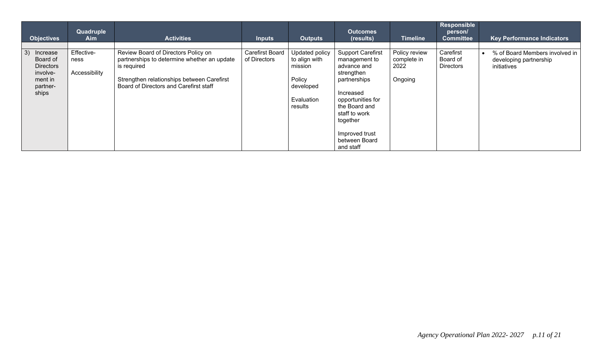| <b>Objectives</b>                                                                          | Quadruple<br>Aim                    | <b>Activities</b>                                                                                                                                                                         | <b>Inputs</b>                          | <b>Outputs</b>                                                                             | <b>Outcomes</b><br>(results)                                                                                                                                                                                           | Timeline                                        | Responsible<br>person/<br><b>Committee</b> | <b>Key Performance Indicators</b>                                       |
|--------------------------------------------------------------------------------------------|-------------------------------------|-------------------------------------------------------------------------------------------------------------------------------------------------------------------------------------------|----------------------------------------|--------------------------------------------------------------------------------------------|------------------------------------------------------------------------------------------------------------------------------------------------------------------------------------------------------------------------|-------------------------------------------------|--------------------------------------------|-------------------------------------------------------------------------|
| 3)<br>Increase<br>Board of<br><b>Directors</b><br>involve-<br>ment in<br>partner-<br>ships | Effective-<br>ness<br>Accessibility | Review Board of Directors Policy on<br>partnerships to determine whether an update<br>is required<br>Strengthen relationships between Carefirst<br>Board of Directors and Carefirst staff | <b>Carefirst Board</b><br>of Directors | Updated policy<br>to align with<br>mission<br>Policy<br>developed<br>Evaluation<br>results | <b>Support Carefirst</b><br>management to<br>advance and<br>strengthen<br>partnerships<br>Increased<br>opportunities for<br>the Board and<br>staff to work<br>together<br>Improved trust<br>between Board<br>and staff | Policy review<br>complete in<br>2022<br>Ongoing | Carefirst<br>Board of<br><b>Directors</b>  | % of Board Members involved in<br>developing partnership<br>initiatives |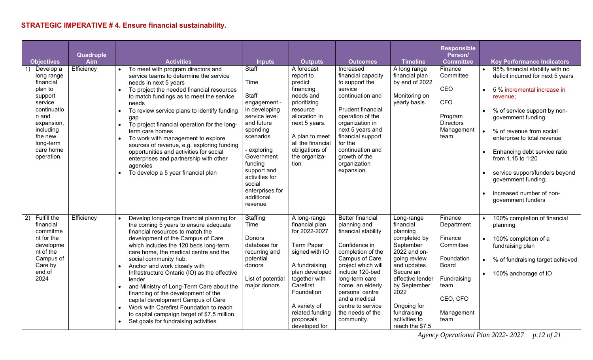## **STRATEGIC IMPERATIVE # 4. Ensure financial sustainability.**

| <b>Objectives</b><br>Develop a<br>1)<br>long range<br>financial<br>plan to<br>support<br>service<br>continuatio<br>n and<br>expansion,<br>including<br>the new<br>long-term<br>care home<br>operation. | Quadruple<br>Aim<br>Efficiency | <b>Activities</b><br>To meet with program directors and<br>service teams to determine the service<br>needs in next 5 years<br>To project the needed financial resources<br>$\bullet$<br>to match fundings as to meet the service<br>needs<br>To review service plans to identify funding<br>gap<br>To project financial operation for the long-<br>$\bullet$<br>term care homes<br>To work with management to explore<br>$\bullet$<br>sources of revenue, e.g. exploring funding<br>opportunities and activities for social<br>enterprises and partnership with other<br>agencies<br>To develop a 5 year financial plan                               | <b>Inputs</b><br>Staff<br>Time<br>Staff<br>engagement -<br>in developing<br>service level<br>and future<br>spending<br>scenarios<br>exploring<br>Government<br>funding<br>support and<br>activities for<br>social<br>enterprises for<br>additional<br>revenue | <b>Outputs</b><br>A forecast<br>report to<br>predict<br>financing<br>needs and<br>prioritizing<br>resource<br>allocation in<br>next 5 years.<br>A plan to meet<br>all the financial<br>obligations of<br>the organiza-<br>tion         | <b>Outcomes</b><br>Increased<br>financial capacity<br>to support the<br>service<br>continuation and<br>Prudent financial<br>operation of the<br>organization in<br>next 5 years and<br>financial support<br>for the<br>continuation and<br>growth of the<br>organization<br>expansion.           | <b>Timeline</b><br>A long range<br>financial plan<br>by end of 2022<br>Monitoring on<br>yearly basis.                                                                                                                                      | <b>Responsible</b><br>Person/<br><b>Committee</b><br>Finance<br>Committee<br>CEO<br><b>CFO</b><br>Program<br><b>Directors</b><br>Management<br>team |                        | <b>Key Performance Indicators</b><br>95% financial stability with no<br>deficit incurred for next 5 years<br>5 % incremental increase in<br>revenue;<br>% of service support by non-<br>government funding<br>% of revenue from social<br>enterprise to total revenue<br>Enhancing debt service ratio<br>from 1.15 to 1:20<br>service support/funders beyond<br>government funding;<br>increased number of non-<br>government funders |
|--------------------------------------------------------------------------------------------------------------------------------------------------------------------------------------------------------|--------------------------------|-------------------------------------------------------------------------------------------------------------------------------------------------------------------------------------------------------------------------------------------------------------------------------------------------------------------------------------------------------------------------------------------------------------------------------------------------------------------------------------------------------------------------------------------------------------------------------------------------------------------------------------------------------|---------------------------------------------------------------------------------------------------------------------------------------------------------------------------------------------------------------------------------------------------------------|----------------------------------------------------------------------------------------------------------------------------------------------------------------------------------------------------------------------------------------|--------------------------------------------------------------------------------------------------------------------------------------------------------------------------------------------------------------------------------------------------------------------------------------------------|--------------------------------------------------------------------------------------------------------------------------------------------------------------------------------------------------------------------------------------------|-----------------------------------------------------------------------------------------------------------------------------------------------------|------------------------|---------------------------------------------------------------------------------------------------------------------------------------------------------------------------------------------------------------------------------------------------------------------------------------------------------------------------------------------------------------------------------------------------------------------------------------|
| Fulfill the<br>2)<br>financial<br>commitme<br>nt for the<br>developme<br>nt of the<br>Campus of<br>Care by<br>end of<br>2024                                                                           | Efficiency                     | Develop long-range financial planning for<br>the coming 5 years to ensure adequate<br>financial resources to match the<br>development of the Campus of Care<br>which includes the 120 beds long-term<br>care home, the medical centre and the<br>social community hub.<br>Anchor and work closely with<br>Infrastructure Ontario (IO) as the effective<br>lender<br>and Ministry of Long-Term Care about the<br>$\bullet$<br>financing of the development of the<br>capital development Campus of Care<br>Work with Carefirst Foundation to reach<br>to capital campaign target of \$7.5 million<br>Set goals for fundraising activities<br>$\bullet$ | Staffing<br>Time<br><b>Donors</b><br>database for<br>recurring and<br>potential<br>donors<br>List of potential<br>major donors                                                                                                                                | A long-range<br>financial plan<br>for 2022-2027<br><b>Term Paper</b><br>signed with IO<br>A fundraising<br>plan developed<br>together with<br>Carefirst<br>Foundation<br>A variety of<br>related funding<br>proposals<br>developed for | <b>Better financial</b><br>planning and<br>financial stability<br>Confidence in<br>completion of the<br>Campus of Care<br>project which will<br>include 120-bed<br>long-term care<br>home, an elderly<br>persons' centre<br>and a medical<br>centre to service<br>the needs of the<br>community. | Long-range<br>financial<br>planning<br>completed by<br>September<br>2022 and on-<br>going review<br>and updates<br>Secure an<br>effective lender<br>by September<br>2022<br>Ongoing for<br>fundraising<br>activities to<br>reach the \$7.5 | Finance<br>Department<br>Finance<br>Committee<br>Foundation<br><b>Board</b><br>Fundraising<br>team<br>CEO, CFO<br>Management<br>team                | $\bullet$<br>$\bullet$ | 100% completion of financial<br>planning<br>100% completion of a<br>fundraising plan<br>% of fundraising target achieved<br>• 100% anchorage of IO                                                                                                                                                                                                                                                                                    |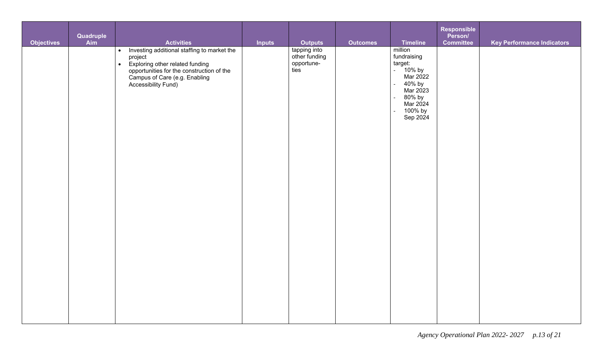| <b>Objectives</b> | Quadruple<br>Aim | <b>Activities</b>                                                                                                                                                                                             | <b>Inputs</b> | <b>Outputs</b>                                      | <b>Outcomes</b> | <b>Timeline</b>                                                                                                                                                  | Responsible<br>Person/<br><b>Committee</b> | <b>Key Performance Indicators</b> |
|-------------------|------------------|---------------------------------------------------------------------------------------------------------------------------------------------------------------------------------------------------------------|---------------|-----------------------------------------------------|-----------------|------------------------------------------------------------------------------------------------------------------------------------------------------------------|--------------------------------------------|-----------------------------------|
|                   |                  | • Investing additional staffing to market the<br>project<br>Exploring other related funding<br>opportunities for the construction of the<br>$\bullet$<br>Campus of Care (e.g. Enabling<br>Accessibility Fund) |               | tapping into<br>other funding<br>opportune-<br>ties |                 | million<br>fundraising<br>target:<br>- 10% by<br>Mar 2022<br>40% by<br>$\mathbb{L}$<br>Mar 2023<br>80% by<br>$\sim$<br>Mar 2024<br>100% by<br>$\sim$<br>Sep 2024 |                                            |                                   |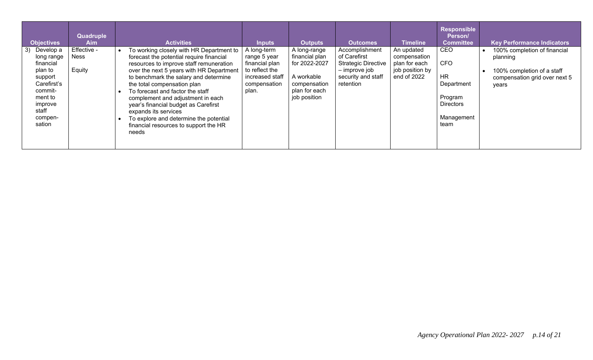| <b>Objectives</b>                                                                                                                              | Quadruple<br><b>Aim</b>              | <b>Activities</b>                                                                                                                                                                                                                                                                                                                                                                                                                                                                        | <b>Inputs</b>                                                                                               | Outputs                                                                                                        | <b>Outcomes</b>                                                                                                  | <b>Timeline</b>                                                               | <b>Responsible</b><br>Person/<br><b>Committee</b>                                                        | <b>Key Performance Indicators</b>                                                                                |
|------------------------------------------------------------------------------------------------------------------------------------------------|--------------------------------------|------------------------------------------------------------------------------------------------------------------------------------------------------------------------------------------------------------------------------------------------------------------------------------------------------------------------------------------------------------------------------------------------------------------------------------------------------------------------------------------|-------------------------------------------------------------------------------------------------------------|----------------------------------------------------------------------------------------------------------------|------------------------------------------------------------------------------------------------------------------|-------------------------------------------------------------------------------|----------------------------------------------------------------------------------------------------------|------------------------------------------------------------------------------------------------------------------|
| Develop a<br>3)<br>long range<br>financial<br>plan to<br>support<br>Carefirst's<br>commit-<br>ment to<br>improve<br>staff<br>compen-<br>sation | Effective -<br><b>Ness</b><br>Equity | To working closely with HR Department to<br>forecast the potential require financial<br>resources to improve staff remuneration<br>over the next 5 years with HR Department<br>to benchmark the salary and determine<br>the total compensation plan<br>To forecast and factor the staff<br>complement and adjustment in each<br>year's financial budget as Carefirst<br>expands its services<br>To explore and determine the potential<br>financial resources to support the HR<br>needs | A long-term<br>range 5 year<br>financial plan<br>to reflect the<br>increased staff<br>compensation<br>plan. | A long-range<br>financial plan<br>for 2022-2027<br>A workable<br>compensation<br>plan for each<br>job position | Accomplishment<br>of Carefirst<br><b>Strategic Directive</b><br>– improve job<br>security and staff<br>retention | An updated<br>compensation<br>plan for each<br>job position by<br>end of 2022 | <b>CEO</b><br><b>CFO</b><br><b>HR</b><br>Department<br>Program<br><b>Directors</b><br>Management<br>team | 100% completion of financial<br>planning<br>100% completion of a staff<br>compensation grid over next 5<br>years |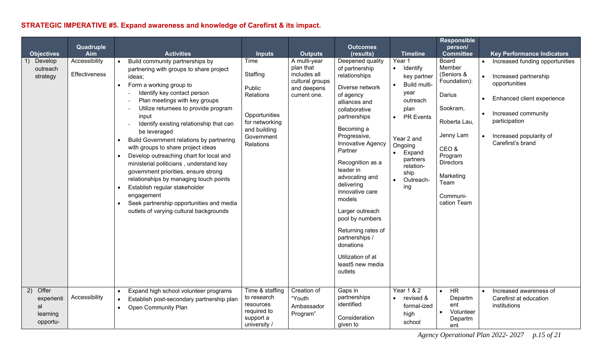## **STRATEGIC IMPERATIVE #5. Expand awareness and knowledge of Carefirst & its impact.**

| <b>Objectives</b>                                       | Quadruple<br>Aim               | <b>Activities</b>                                                                                                                                                                                                                                                                                                                                                                                                                                                                                                                                                                                                                                                                                                                                                                | <b>Inputs</b>                                                                                                                | <b>Outputs</b>                                                                              | <b>Outcomes</b><br>(results)                                                                                                                                                                                                                                                                                                                                                                                                                     | <b>Timeline</b>                                                                                                                                                                                                | <b>Responsible</b><br>person/<br><b>Committee</b>                                                                                                                                | <b>Key Performance Indicators</b>                                                                                                                                                               |
|---------------------------------------------------------|--------------------------------|----------------------------------------------------------------------------------------------------------------------------------------------------------------------------------------------------------------------------------------------------------------------------------------------------------------------------------------------------------------------------------------------------------------------------------------------------------------------------------------------------------------------------------------------------------------------------------------------------------------------------------------------------------------------------------------------------------------------------------------------------------------------------------|------------------------------------------------------------------------------------------------------------------------------|---------------------------------------------------------------------------------------------|--------------------------------------------------------------------------------------------------------------------------------------------------------------------------------------------------------------------------------------------------------------------------------------------------------------------------------------------------------------------------------------------------------------------------------------------------|----------------------------------------------------------------------------------------------------------------------------------------------------------------------------------------------------------------|----------------------------------------------------------------------------------------------------------------------------------------------------------------------------------|-------------------------------------------------------------------------------------------------------------------------------------------------------------------------------------------------|
| Develop<br>outreach<br>strategy                         | Accessibility<br>Effectiveness | Build community partnerships by<br>partnering with groups to share project<br>ideas;<br>Form a working group to<br>$\bullet$<br>Identify key contact person<br>Plan meetings with key groups<br>Utilize returnees to provide program<br>$\blacksquare$<br>input<br>Identify existing relationship that can<br>$\overline{\phantom{a}}$<br>be leveraged<br>Build Government relations by partnering<br>with groups to share project ideas<br>Develop outreaching chart for local and<br>$\bullet$<br>ministerial politicians, understand key<br>government priorities, ensure strong<br>relationships by managing touch points<br>Establish regular stakeholder<br>engagement<br>Seek partnership opportunities and media<br>$\bullet$<br>outlets of varying cultural backgrounds | Time<br>Staffing<br>Public<br><b>Relations</b><br>Opportunities<br>for networking<br>and building<br>Government<br>Relations | A multi-year<br>plan that<br>includes all<br>cultural groups<br>and deepens<br>current one. | Deepened quality<br>of partnership<br>relationships<br>Diverse network<br>of agency<br>alliances and<br>collaborative<br>partnerships<br>Becoming a<br>Progressive,<br>Innovative Agency<br>Partner<br>Recognition as a<br>leader in<br>advocating and<br>delivering<br>innovative care<br>models<br>Larger outreach<br>pool by numbers<br>Returning rates of<br>partnerships /<br>donations<br>Utilization of at<br>least5 new media<br>outlets | Year 1<br>• Identify<br>key partner<br>Build multi-<br>year<br>outreach<br>plan<br>PR Events<br>$\bullet$<br>Year 2 and<br>Ongoing<br>Expand<br>$\bullet$<br>partners<br>relation-<br>ship<br>Outreach-<br>ing | Board<br>Member<br>(Seniors &<br>Foundation):<br>Darius<br>Sookram,<br>Roberta Lau,<br>Jenny Lam<br>CEO&<br>Program<br>Directors<br>Marketing<br>Team<br>Communi-<br>cation Team | Increased funding opportunities<br>Increased partnership<br>opportunities<br>Enhanced client experience<br>Increased community<br>participation<br>Increased popularity of<br>Carefirst's brand |
| Offer<br>2)<br>experienti<br>al<br>learning<br>opportu- | Accessibility                  | Expand high school volunteer programs<br>Establish post-secondary partnership plan<br>$\bullet$<br><b>Open Community Plan</b>                                                                                                                                                                                                                                                                                                                                                                                                                                                                                                                                                                                                                                                    | Time & staffing<br>to research<br>resources<br>required to<br>support a<br>university /                                      | Creation of<br>"Youth<br>Ambassador<br>Program"                                             | Gaps in<br>partnerships<br>identified<br>Consideration<br>given to                                                                                                                                                                                                                                                                                                                                                                               | <b>Year 1 &amp; 2</b><br>revised &<br>$\bullet$<br>formal-ized<br>high<br>school                                                                                                                               | <b>HR</b><br>$\bullet$<br>Departm<br>ent<br>Volunteer<br>Departm<br>ent                                                                                                          | Increased awareness of<br>Carefirst at education<br>institutions                                                                                                                                |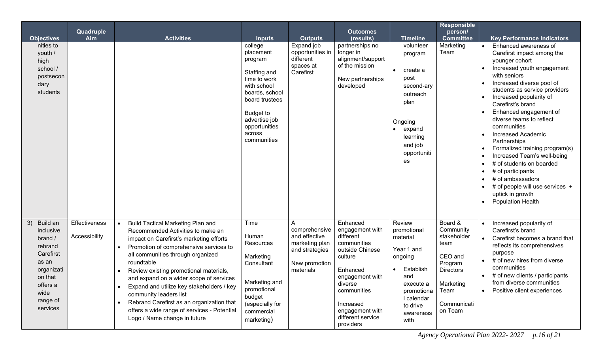| <b>Objectives</b><br>nities to<br>youth /<br>high<br>school /<br>postsecon<br>dary<br>students                                               | Quadruple<br>Aim               | <b>Activities</b>                                                                                                                                                                                                                                                                                                                                                                                                                                                                                                          | <b>Inputs</b><br>college<br>placement<br>program<br>Staffing and<br>time to work<br>with school<br>boards, school<br>board trustees<br><b>Budget to</b><br>advertise job<br>opportunities<br>across<br>communities | <b>Outputs</b><br>Expand job<br>opportunities in<br>different<br>spaces at<br>Carefirst          | <b>Outcomes</b><br>(results)<br>partnerships no<br>longer in<br>alignment/support<br>of the mission<br>New partnerships<br>developed                                                                             | <b>Timeline</b><br>volunteer<br>program<br>create a<br>$\bullet$<br>post<br>second-ary<br>outreach<br>plan<br>Ongoing<br>• expand<br>learning<br>and job<br>opportuniti<br>es | <b>Responsible</b><br>person/<br><b>Committee</b><br>Marketing<br>Team                                                               | <b>Key Performance Indicators</b><br>Enhanced awareness of<br>Carefirst impact among the<br>younger cohort<br>Increased youth engagement<br>with seniors<br>Increased diverse pool of<br>students as service providers<br>Increased popularity of<br>Carefirst's brand<br>Enhanced engagement of<br>diverse teams to reflect<br>communities<br><b>Increased Academic</b><br>Partnerships<br>Formalized training program(s)<br>Increased Team's well-being<br># of students on boarded<br># of participants<br># of ambassadors<br># of people will use services +<br>uptick in growth<br><b>Population Health</b> |
|----------------------------------------------------------------------------------------------------------------------------------------------|--------------------------------|----------------------------------------------------------------------------------------------------------------------------------------------------------------------------------------------------------------------------------------------------------------------------------------------------------------------------------------------------------------------------------------------------------------------------------------------------------------------------------------------------------------------------|--------------------------------------------------------------------------------------------------------------------------------------------------------------------------------------------------------------------|--------------------------------------------------------------------------------------------------|------------------------------------------------------------------------------------------------------------------------------------------------------------------------------------------------------------------|-------------------------------------------------------------------------------------------------------------------------------------------------------------------------------|--------------------------------------------------------------------------------------------------------------------------------------|-------------------------------------------------------------------------------------------------------------------------------------------------------------------------------------------------------------------------------------------------------------------------------------------------------------------------------------------------------------------------------------------------------------------------------------------------------------------------------------------------------------------------------------------------------------------------------------------------------------------|
| Build an<br>3)<br>inclusive<br>brand /<br>rebrand<br>Carefirst<br>as an<br>organizati<br>on that<br>offers a<br>wide<br>range of<br>services | Effectiveness<br>Accessibility | <b>Build Tactical Marketing Plan and</b><br>$\bullet$<br>Recommended Activities to make an<br>impact on Carefirst's marketing efforts<br>Promotion of comprehensive services to<br>all communities through organized<br>roundtable<br>Review existing promotional materials,<br>and expand on a wider scope of services<br>Expand and utilize key stakeholders / key<br>community leaders list<br>Rebrand Carefirst as an organization that<br>offers a wide range of services - Potential<br>Logo / Name change in future | Time<br>Human<br>Resources<br>Marketing<br>Consultant<br>Marketing and<br>promotional<br>budget<br>(especially for<br>commercial<br>marketing)                                                                     | comprehensive<br>and effective<br>marketing plan<br>and strategies<br>New promotion<br>materials | Enhanced<br>engagement with<br>different<br>communities<br>outside Chinese<br>culture<br>Enhanced<br>engagement with<br>aiverse<br>communities<br>Increased<br>engagement with<br>different service<br>providers | Review<br>promotional<br>material<br>Year 1 and<br>ongoing<br>Establish<br>and<br>execute a<br>promotiona<br>I calendar<br>to drive<br>awareness<br>with                      | Board &<br>Community<br>stakeholder<br>team<br>CEO and<br>Program<br><b>Directors</b><br>Marketing<br>Team<br>Communicati<br>on Team | Increased popularity of<br>Carefirst's brand<br>Carefirst becomes a brand that<br>reflects its comprehensives<br>purpose<br># of new hires from diverse<br>communities<br># of new clients / participants<br>from diverse communities<br>Positive client experiences                                                                                                                                                                                                                                                                                                                                              |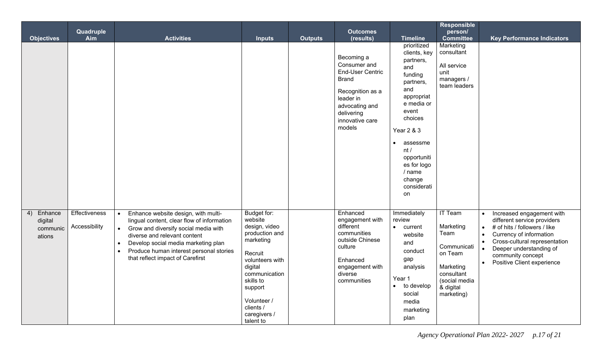|                                                | Quadruple                             |                                                                                                                                                                                                                                                                                                           |                                                                                                                                                                                                                   |                | <b>Outcomes</b>                                                                                                                                                     |                                                                                                                                                                                                                                                   | <b>Responsible</b><br>person/                                                                                                        |                                                                                                                                                                                                                                                                                                     |
|------------------------------------------------|---------------------------------------|-----------------------------------------------------------------------------------------------------------------------------------------------------------------------------------------------------------------------------------------------------------------------------------------------------------|-------------------------------------------------------------------------------------------------------------------------------------------------------------------------------------------------------------------|----------------|---------------------------------------------------------------------------------------------------------------------------------------------------------------------|---------------------------------------------------------------------------------------------------------------------------------------------------------------------------------------------------------------------------------------------------|--------------------------------------------------------------------------------------------------------------------------------------|-----------------------------------------------------------------------------------------------------------------------------------------------------------------------------------------------------------------------------------------------------------------------------------------------------|
| <b>Objectives</b>                              | Aim                                   | <b>Activities</b>                                                                                                                                                                                                                                                                                         | <b>Inputs</b>                                                                                                                                                                                                     | <b>Outputs</b> | (results)                                                                                                                                                           | <b>Timeline</b>                                                                                                                                                                                                                                   | <b>Committee</b>                                                                                                                     | <b>Key Performance Indicators</b>                                                                                                                                                                                                                                                                   |
|                                                |                                       |                                                                                                                                                                                                                                                                                                           |                                                                                                                                                                                                                   |                | Becoming a<br>Consumer and<br><b>End-User Centric</b><br><b>Brand</b><br>Recognition as a<br>leader in<br>advocating and<br>delivering<br>innovative care<br>models | prioritized<br>clients, key<br>partners,<br>and<br>funding<br>partners,<br>and<br>appropriat<br>e media or<br>event<br>choices<br><b>Year 2 &amp; 3</b><br>assessme<br>nt/<br>opportuniti<br>es for logo<br>/ name<br>change<br>considerati<br>on | Marketing<br>consultant<br>All service<br>unit<br>managers /<br>team leaders                                                         |                                                                                                                                                                                                                                                                                                     |
| Enhance<br>4)<br>digital<br>communic<br>ations | <b>Effectiveness</b><br>Accessibility | Enhance website design, with multi-<br>$\bullet$<br>lingual content, clear flow of information<br>Grow and diversify social media with<br>$\bullet$<br>diverse and relevant content<br>Develop social media marketing plan<br>Produce human interest personal stories<br>that reflect impact of Carefirst | Budget for:<br>website<br>design, video<br>production and<br>marketing<br>Recruit<br>volunteers with<br>digital<br>communication<br>skills to<br>support<br>Volunteer /<br>clients /<br>caregivers /<br>talent to |                | Enhanced<br>engagement with<br>different<br>communities<br>outside Chinese<br>culture<br>Enhanced<br>engagement with<br>diverse<br>communities                      | Immediately<br>review<br>$\bullet$ current<br>website<br>and<br>conduct<br>gap<br>analysis<br>Year 1<br>to develop<br>$\bullet$<br>social<br>media<br>marketing<br>plan                                                                           | <b>IT Team</b><br>Marketing<br>Team<br>Communicati<br>on Team<br>Marketing<br>consultant<br>(social media<br>& digital<br>marketing) | Increased engagement with<br>$\bullet$<br>different service providers<br># of hits / followers / like<br>$\bullet$<br>Currency of information<br>$\bullet$<br>$\bullet$<br>Cross-cultural representation<br>Deeper understanding of<br>community concept<br>Positive Client experience<br>$\bullet$ |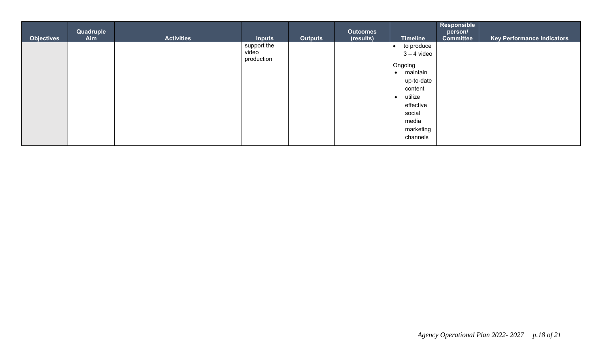|                   | Quadruple |                   |                     |                | <b>Outcomes</b> |                       | Responsible<br>person/ |                                   |
|-------------------|-----------|-------------------|---------------------|----------------|-----------------|-----------------------|------------------------|-----------------------------------|
| <b>Objectives</b> | Aim       | <b>Activities</b> | <b>Inputs</b>       | <b>Outputs</b> | (results)       | <b>Timeline</b>       | <b>Committee</b>       | <b>Key Performance Indicators</b> |
|                   |           |                   | support the         |                |                 | to produce            |                        |                                   |
|                   |           |                   | video<br>production |                |                 | $3 - 4$ video         |                        |                                   |
|                   |           |                   |                     |                |                 | Ongoing               |                        |                                   |
|                   |           |                   |                     |                |                 | maintain<br>$\bullet$ |                        |                                   |
|                   |           |                   |                     |                |                 | up-to-date            |                        |                                   |
|                   |           |                   |                     |                |                 | content               |                        |                                   |
|                   |           |                   |                     |                |                 | utilize<br>$\bullet$  |                        |                                   |
|                   |           |                   |                     |                |                 | effective             |                        |                                   |
|                   |           |                   |                     |                |                 | social                |                        |                                   |
|                   |           |                   |                     |                |                 | media                 |                        |                                   |
|                   |           |                   |                     |                |                 | marketing             |                        |                                   |
|                   |           |                   |                     |                |                 | channels              |                        |                                   |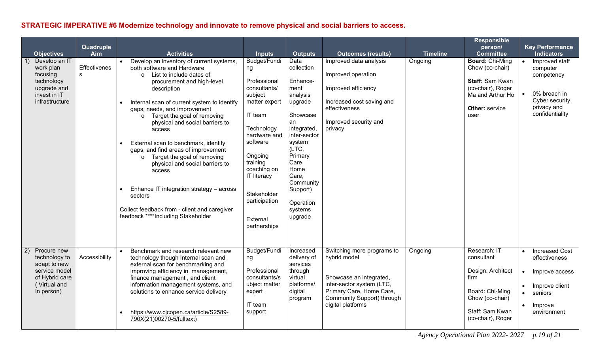### **STRATEGIC IMPERATIVE #6 Modernize technology and innovate to remove physical and social barriers to access.**

| <b>Objectives</b>                                                                                                    | Quadruple<br><b>Aim</b> | <b>Activities</b>                                                                                                                                                                                                                                                                                                                                                                                                                                                                                                                                                                                                                                       | <b>Inputs</b>                                                                                                                                                                                                                                               | <b>Outputs</b>                                                                                                                                                                                                                     | <b>Outcomes (results)</b>                                                                                                                                                         | <b>Timeline</b> | <b>Responsible</b><br>person/<br><b>Committee</b>                                                                                      | <b>Key Performance</b><br><b>Indicators</b>                                                                                                                         |
|----------------------------------------------------------------------------------------------------------------------|-------------------------|---------------------------------------------------------------------------------------------------------------------------------------------------------------------------------------------------------------------------------------------------------------------------------------------------------------------------------------------------------------------------------------------------------------------------------------------------------------------------------------------------------------------------------------------------------------------------------------------------------------------------------------------------------|-------------------------------------------------------------------------------------------------------------------------------------------------------------------------------------------------------------------------------------------------------------|------------------------------------------------------------------------------------------------------------------------------------------------------------------------------------------------------------------------------------|-----------------------------------------------------------------------------------------------------------------------------------------------------------------------------------|-----------------|----------------------------------------------------------------------------------------------------------------------------------------|---------------------------------------------------------------------------------------------------------------------------------------------------------------------|
| Develop an IT<br>work plan<br>focusing<br>technology<br>upgrade and<br>invest in IT<br>infrastructure                | Effectivenes<br>S       | Develop an inventory of current systems,<br>both software and Hardware<br>List to include dates of<br>$\circ$<br>procurement and high-level<br>description<br>Internal scan of current system to identify<br>$\bullet$<br>gaps, needs, and improvement<br>o Target the goal of removing<br>physical and social barriers to<br>access<br>External scan to benchmark, identify<br>gaps, and find areas of improvement<br>Target the goal of removing<br>$\circ$<br>physical and social barriers to<br>access<br>Enhance IT integration strategy - across<br>sectors<br>Collect feedback from - client and caregiver<br>feedback ****Including Stakeholder | Budget/Fundi<br>ng<br>Professional<br>consultants/<br>subject<br>matter expert<br>IT team<br>Technology<br>hardware and<br>software<br>Ongoing<br>training<br>coaching on<br><b>IT literacy</b><br>Stakeholder<br>participation<br>External<br>partnerships | Data<br>collection<br>Enhance-<br>ment<br>analysis<br>upgrade<br>Showcase<br>an<br>integrated,<br>inter-sector<br>system<br>(LTC,<br>Primary<br>Care,<br>Home<br>Care,<br>Community<br>Support)<br>Operation<br>systems<br>upgrade | Improved data analysis<br>Improved operation<br>Improved efficiency<br>Increased cost saving and<br>effectiveness<br>Improved security and<br>privacy                             | Ongoing         | <b>Board: Chi-Ming</b><br>Chow (co-chair)<br>Staff: Sam Kwan<br>(co-chair), Roger<br>Ma and Arthur Ho<br><b>Other: service</b><br>user | $\bullet$<br>Improved staff<br>computer<br>competency<br>0% breach in<br>Cyber security,<br>privacy and<br>confidentiality                                          |
| Procure new<br>(2)<br>technology to<br>adapt to new<br>service model<br>of Hybrid care<br>(Virtual and<br>In person) | Accessibility           | Benchmark and research relevant new<br>technology though Internal scan and<br>external scan for benchmarking and<br>improving efficiency in management,<br>finance management, and client<br>information management systems, and<br>solutions to enhance service delivery<br>https://www.cjcopen.ca/article/S2589-<br>790X(21)00270-5/fulltext)                                                                                                                                                                                                                                                                                                         | Budget/Fundi<br>ng<br>Professional<br>consultants/s<br>ubject matter<br>expert<br>IT team<br>support                                                                                                                                                        | Increased<br>delivery of<br>services<br>through<br>virtual<br>platforms/<br>digital<br>program                                                                                                                                     | Switching more programs to<br>hybrid model<br>Showcase an integrated,<br>inter-sector system (LTC,<br>Primary Care, Home Care,<br>Community Support) through<br>digital platforms | Ongoing         | Research: IT<br>consultant<br>Design: Architect<br>firm<br>Board: Chi-Ming<br>Chow (co-chair)<br>Staff: Sam Kwan<br>(co-chair), Roger  | <b>Increased Cost</b><br>$\bullet$<br>effectiveness<br>Improve access<br>Improve client<br>$\bullet$<br>$\bullet$<br>seniors<br>Improve<br>$\bullet$<br>environment |

*Agency Operational Plan 2022- 2027 p.19 of 21*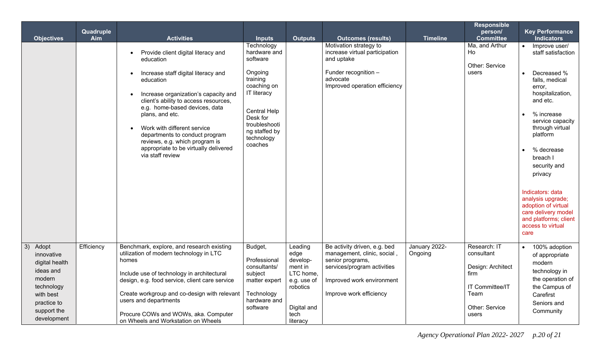|                                                                                                                                            |                  |                                                                                                                                                                                                                                                                                                                                                                                                           |                                                                                                                                                                                           |                                                                                                                   |                                                                                                                                                                        |                          | <b>Responsible</b>                                                                                            |                                                                                                                                                                                                                                                                                                                                                                                                |
|--------------------------------------------------------------------------------------------------------------------------------------------|------------------|-----------------------------------------------------------------------------------------------------------------------------------------------------------------------------------------------------------------------------------------------------------------------------------------------------------------------------------------------------------------------------------------------------------|-------------------------------------------------------------------------------------------------------------------------------------------------------------------------------------------|-------------------------------------------------------------------------------------------------------------------|------------------------------------------------------------------------------------------------------------------------------------------------------------------------|--------------------------|---------------------------------------------------------------------------------------------------------------|------------------------------------------------------------------------------------------------------------------------------------------------------------------------------------------------------------------------------------------------------------------------------------------------------------------------------------------------------------------------------------------------|
| <b>Objectives</b>                                                                                                                          | Quadruple<br>Aim | <b>Activities</b>                                                                                                                                                                                                                                                                                                                                                                                         | <b>Inputs</b>                                                                                                                                                                             | <b>Outputs</b>                                                                                                    | <b>Outcomes (results)</b>                                                                                                                                              | <b>Timeline</b>          | person/<br><b>Committee</b>                                                                                   | <b>Key Performance</b><br><b>Indicators</b>                                                                                                                                                                                                                                                                                                                                                    |
|                                                                                                                                            |                  | Provide client digital literacy and<br>education<br>Increase staff digital literacy and<br>education<br>Increase organization's capacity and<br>client's ability to access resources,<br>e.g. home-based devices, data<br>plans, and etc.<br>Work with different service<br>departments to conduct program<br>reviews, e.g. which program is<br>appropriate to be virtually delivered<br>via staff review | Technology<br>hardware and<br>software<br>Ongoing<br>training<br>coaching on<br>IT literacy<br><b>Central Help</b><br>Desk for<br>troubleshooti<br>ng staffed by<br>technology<br>coaches |                                                                                                                   | Motivation strategy to<br>increase virtual participation<br>and uptake<br>Funder recognition -<br>advocate<br>Improved operation efficiency                            |                          | Ma, and Arthur<br>Ho<br>Other: Service<br>users                                                               | Improve user/<br>$\bullet$<br>staff satisfaction<br>Decreased %<br>falls, medical<br>error,<br>hospitalization,<br>and etc.<br>% increase<br>service capacity<br>through virtual<br>platform<br>% decrease<br>breach I<br>security and<br>privacy<br>Indicators: data<br>analysis upgrade;<br>adoption of virtual<br>care delivery model<br>and platforms; client<br>access to virtual<br>care |
| 3)<br>Adopt<br>innovative<br>digital health<br>ideas and<br>modern<br>technology<br>with best<br>practice to<br>support the<br>development | Efficiency       | Benchmark, explore, and research existing<br>utilization of modern technology in LTC<br>homes<br>Include use of technology in architectural<br>design, e.g. food service, client care service<br>Create workgroup and co-design with relevant<br>users and departments<br>Procure COWs and WOWs, aka. Computer<br>on Wheels and Workstation on Wheels                                                     | Budget,<br>Professional<br>consultants/<br>subject<br>matter expert<br>Technology<br>hardware and<br>software                                                                             | Leading<br>edge<br>develop-<br>ment in<br>LTC home,<br>e.g. use of<br>robotics<br>Digital and<br>tech<br>literacy | Be activity driven, e.g. bed<br>management, clinic, social,<br>senior programs,<br>services/program activities<br>Improved work environment<br>Improve work efficiency | January 2022-<br>Ongoing | Research: IT<br>consultant<br>Design: Architect<br>firm<br>IT Committee/IT<br>Team<br>Other: Service<br>users | 100% adoption<br>of appropriate<br>modern<br>technology in<br>the operation of<br>the Campus of<br>Carefirst<br>Seniors and<br>Community                                                                                                                                                                                                                                                       |